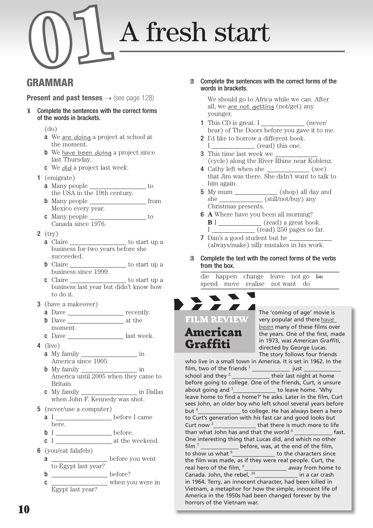# GrAMMAr

**Present and past tenses**  $\rightarrow$  (see page 128)

- 1 Complete the sentences with the correct forms of the words in brackets.
	- (do)
	- **a** We are doing a project at school at the moment.
	- **b** We have been doing a project since last Thursday.
	- c We **d¡d** a project last week.
	- 1 (emigrate)
		- a Many people \_\_\_\_\_\_\_\_\_\_\_\_\_\_\_\_\_\_ to the USA in the 19th century.
		- b Many people from Mexico every year.
		- **c** Many people  $\_\_\_\_\_\_\_\_\_\_\_\$  to Canada since 1976.
	- 2 (try)
		- **a** Claire \_\_\_\_\_\_\_\_\_\_\_\_\_\_\_\_\_\_\_\_\_\_\_ to start up a business for two years before she succeeded.
		- b Claire to start up a business since 1999.
		- $c$  Claire  $\qquad \qquad \qquad$  to start up a business last year but didn't know how to do it.
	- 3 (have a makeover)
		- a Dave recently. b Dave at the moment.
		- c Dave <u>last week</u>.
	- 4 (live)
		- a My family  $\frac{1}{\sqrt{2\pi}}$  in America since 1905.
		- **b** My family  $\frac{1}{\sqrt{1-\frac{1}{\sqrt{1-\frac{1}{\sqrt{1-\frac{1}{\sqrt{1-\frac{1}{\sqrt{1-\frac{1}{\sqrt{1-\frac{1}{\sqrt{1-\frac{1}{\sqrt{1-\frac{1}{\sqrt{1-\frac{1}{\sqrt{1-\frac{1}{\sqrt{1-\frac{1}{\sqrt{1-\frac{1}{\sqrt{1-\frac{1}{\sqrt{1-\frac{1}{\sqrt{1-\frac{1}{\sqrt{1-\frac{1}{\sqrt{1-\frac{1}{\sqrt{1-\frac{1}{\sqrt{1-\frac{1}{\sqrt{1-\frac{1}{\sqrt{1-\frac{1}{\sqrt{1-\frac{1}{\sqrt{$ America until 2005 when they came to Britain.
		- c My family in Dallas when John F. Kennedy was shot.
	- 5 (never/use a computer)
		- a I \_\_\_\_\_\_\_\_\_\_\_\_\_\_\_\_\_\_\_ before I came here.
		- $b$  I  $\rule{1em}{0.15mm}$  before.
		- c I at the weekend.
	- 6 (you/eat falafels)
		- a \_\_\_\_\_\_\_\_\_\_\_\_\_\_\_\_\_\_\_\_\_ before you went to Egypt last year?
		- b before?
		- c when you were in Egypt last year?

2 Complete the sentences with the correct forms of the words in brackets.

> We should go to Africa while we can. After all, we are not getting (not/get) any younger.

- 1 This CD is great. I \_\_\_\_\_\_\_\_\_\_\_\_\_\_ (never/ hear) of The Doors before you gave it to me.
- 2 I'd like to borrow a different book. I (read) this one.
- 3 This time last week we (cycle) along the River Rhine near Koblenz.
- 4 Cathy left when she (see) that Jim was there. She didn't want to talk to him again.
- 5 My mum (shop) all day and she (still/not/buy) any Christmas presents.
- 6 **A** Where have you been all morning? **B** I (read) a great book. I (read) 250 pages so far.
- 7 Dan's a good student but he (always/make) silly mistakes in his work.
- 3 Complete the text with the correct forms of the verbs from the box.

 die happen change leave not go be spend move realise not want do



The 'coming of age' movie is very popular and there **have been** many of these films over the years. One of the first, made in 1973, was *American Graffiti*, directed by George Lucas. The story follows four friends

who live in a small town in America. It is set in 1962. In the film, two of the friends  $1$  \_\_\_\_\_\_\_\_\_\_\_\_\_\_\_\_\_\_ just school and they <sup>2</sup>their last night at home before going to college. One of the friends, Curt, is unsure about going and <sup>3</sup>\_\_\_\_\_\_\_\_\_\_\_\_\_\_\_ to leave home. 'Why leave home to find a home?' he asks. Later in the film, Curt sees John, an older boy who left school several years before but <sup>4</sup> \_\_\_\_\_\_\_\_\_\_\_\_\_\_\_\_ to college. He has always been a hero to Curt's generation with his fast car and good looks but Curt now <sup>5</sup>\_\_\_\_\_\_\_\_\_\_\_\_\_\_\_\_\_that there is much more to life than what John has and that the world <sup>6</sup>fast. One interesting thing that Lucas did, and which no other  $\lim$   $\frac{7}{2}$  **before, was, at the end of the film,** to show us what <sup>8</sup>\_\_\_\_\_\_\_\_\_\_\_\_\_\_\_\_ to the characters since the film was made, as if they were real people. Curt, the real hero of the film, <sup>9</sup>\_\_\_\_\_\_\_\_\_\_\_\_\_\_\_\_ away from home to Canada. John, the rebel, <sup>10</sup> **intercally** in a car crash in 1964. Terry, an innocent character, had been killed in Vietnam, a metaphor for how the simple, innocent life of America in the 1950s had been changed forever by the horrors of the Vietnam war.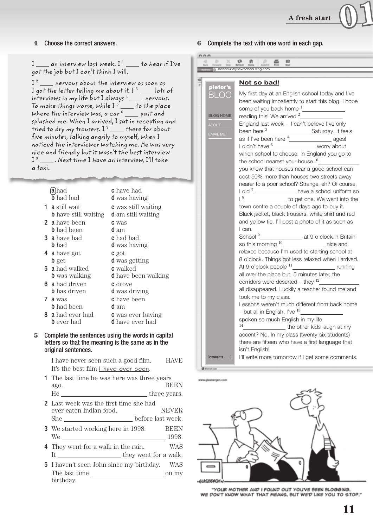I \_\_\_ an interview last week. I<sup>1</sup> \_\_\_ to hear if I've got the job but I don't think I will.

 I <sup>2</sup>nervous about the interview as soon as I got the letter telling me about it. I <sup>3</sup>lots of interviews in my life but I always <sup>4</sup>nervous. To make things worse, while I <sup>5</sup>to the place where the interview was, a car  $^6$   $\_\_\_$  past and splashed me. When I arrived, I sat in reception and tried to dry my trousers. I<sup>7</sup> \_\_\_ there for about five minutes, talking angrily to myself, when I noticed the interviewer watching me. He was very nice and friendly but it wasn't the best interview  $\mathrm{I}$   $^8$   $\_\_\_\_\,.$  Next time I have an interview, I'll take a taxi.

|   | <b>a</b> lhad               | <b>c</b> have had          |
|---|-----------------------------|----------------------------|
|   | <b>b</b> had had            | <b>d</b> was having        |
|   | <b>1 a</b> still wait       | <b>c</b> was still waiting |
|   | <b>b</b> have still waiting | <b>d</b> am still waiting  |
|   | <b>2 a</b> have been        | <b>C</b> was               |
|   | <b>b</b> had been           | d am                       |
|   | <b>3 a</b> have had         | <b>c</b> had had           |
|   | <b>b</b> had                | <b>d</b> was having        |
|   | 4 <b>a</b> have got         | <b>C</b> got               |
|   | <b>b</b> get                | <b>d</b> was getting       |
|   | <b>5 a</b> had walked       | <b>c</b> walked            |
|   | <b>b</b> was walking        | <b>d</b> have been walking |
|   | <b>6</b> a had driven       | <b>c</b> drove             |
|   | <b>b</b> has driven         | <b>d</b> was driving       |
| 7 | a was                       | <b>c</b> have been         |
|   | <b>b</b> had been           | d am                       |
|   | <b>8 a</b> had ever had     | <b>c</b> was ever having   |
|   | <b>b</b> ever had           | <b>d</b> have ever had     |
|   |                             |                            |

#### 5 Complete the sentences using the words in capital letters so that the meaning is the same as in the original sentences.

I have never seen such a good film. HAVE It's the best film I have ever seen.

- 1 The last time he was here was three years ago. BEEN He <u>example three</u> years.
- 2 Last week was the first time she had ever eaten Indian food. NEVER She before last week.
- 3 We started working here in 1998. BEEN We 1998.
- 4 They went for a walk in the rain. WAS It they went for a walk.
- 5 I haven't seen John since my birthday. WAS The last time on my birthday.

#### 4 Choose the correct answers. 6 Complete the text with one word in each gap.

|                  | ŧЭ                                                                                                                                                                                                                                                                                                                                                                                                                                                                                                                                                                                                                                                               |
|------------------|------------------------------------------------------------------------------------------------------------------------------------------------------------------------------------------------------------------------------------------------------------------------------------------------------------------------------------------------------------------------------------------------------------------------------------------------------------------------------------------------------------------------------------------------------------------------------------------------------------------------------------------------------------------|
|                  | newcountrynewschool.blog.com                                                                                                                                                                                                                                                                                                                                                                                                                                                                                                                                                                                                                                     |
| pietor's         | Not so bad!                                                                                                                                                                                                                                                                                                                                                                                                                                                                                                                                                                                                                                                      |
| BLOG             | My first day at an English school today and I've<br>been waiting impatiently to start this blog. I hope<br>some of you back home <sup>1</sup>                                                                                                                                                                                                                                                                                                                                                                                                                                                                                                                    |
| <b>BLOG HOME</b> | reading this! We arrived $2$                                                                                                                                                                                                                                                                                                                                                                                                                                                                                                                                                                                                                                     |
| <b>ABOUT</b>     | England last week - I can't believe I've only                                                                                                                                                                                                                                                                                                                                                                                                                                                                                                                                                                                                                    |
| <b>EMAIL ME</b>  | as if I've been here $4$ _______________________ ages!                                                                                                                                                                                                                                                                                                                                                                                                                                                                                                                                                                                                           |
|                  | worry about<br>I didn't have <sup>5</sup>                                                                                                                                                                                                                                                                                                                                                                                                                                                                                                                                                                                                                        |
|                  | which school to choose. In England you go to<br>the school nearest your house. <sup>6</sup>                                                                                                                                                                                                                                                                                                                                                                                                                                                                                                                                                                      |
|                  | you know that houses near a good school can<br>cost 50% more than houses two streets away<br>nearer to a poor school? Strange, eh? Of course,<br>I did <sup>7</sup> <sub>_________________________ have a school uniform so</sub><br>18<br>to get one. We went into the<br>town centre a couple of days ago to buy it.<br>Black jacket, black trousers, white shirt and red<br>and yellow tie. I'll post a photo of it as soon as<br>I can.<br>at 9 o'clock in Britain<br>School <sup>9</sup><br>so this morning <sup>10</sup> ________________ nice and<br>relaxed because I'm used to starting school at<br>8 o'clock. Things got less relaxed when I arrived. |
| <b>Comments</b>  | At 9 o'clock people <sup>11</sup> _______________________ running<br>all over the place but, 5 minutes later, the<br>corridors were deserted – they $^{12}$<br>all disappeared. Luckily a teacher found me and<br>took me to my class.<br>Lessons weren't much different from back home<br>- but all in English. I've $^{13}$<br>spoken so much English in my life.<br>14<br>the other kids laugh at my<br>accent? No. In my class (twenty-six students)<br>there are fifteen who have a first language that<br>isn't English!                                                                                                                                   |
| $\bf{0}$         | I'll write more tomorrow if I get some comments.                                                                                                                                                                                                                                                                                                                                                                                                                                                                                                                                                                                                                 |



"YOUR MOTHER AND I FOUND OUT YOUVE BEEN BLOGGING. WE DON'T KNOW WHAT THAT MEANS, BUT WE'D LIKE YOU TO STOP."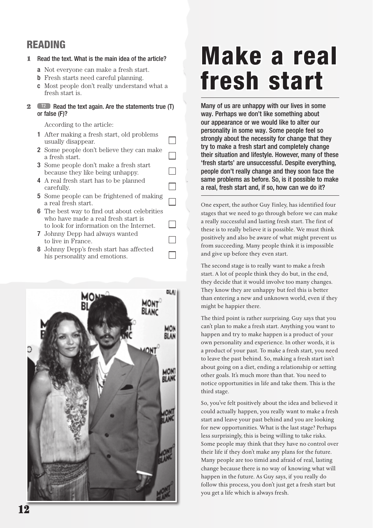# rEAdiNG

## 1 Read the text. What is the main idea of the article?

- a Not everyone can make a fresh start.
- b Fresh starts need careful planning.
- c Most people don't really understand what a fresh start is.

#### **2 T2** Read the text again. Are the statements true (T) or false (F)?

According to the article:

 1 After making a fresh start, old problems usually disappear.

 $\Box$ 

┓

- 2 Some people don't believe they can make a fresh start.
- 3 Some people don't make a fresh start because they like being unhappy.
- 4 A real fresh start has to be planned carefully.
- 5 Some people can be frightened of making a real fresh start.
- **6** The best way to find out about celebrities who have made a real fresh start is to look for information on the Internet.
- 7 Johnny Depp had always wanted to live in France.
- 8 Johnny Depp's fresh start has affected his personality and emotions.



# Make a real fresh start

Many of us are unhappy with our lives in some way. Perhaps we don't like something about our appearance or we would like to alter our personality in some way. Some people feel so strongly about the necessity for change that they try to make a fresh start and completely change their situation and lifestyle. However, many of these 'fresh starts' are unsuccessful. Despite everything, people don't really change and they soon face the same problems as before. So, is it possible to make a real, fresh start and, if so, how can we do it?

One expert, the author Guy Finley, has identified four stages that we need to go through before we can make a really successful and lasting fresh start. The first of these is to really believe it is possible. We must think positively and also be aware of what might prevent us from succeeding. Many people think it is impossible and give up before they even start.

The second stage is to really want to make a fresh start. A lot of people think they do but, in the end, they decide that it would involve too many changes. They know they are unhappy but feel this is better than entering a new and unknown world, even if they might be happier there.

The third point is rather surprising. Guy says that you can't plan to make a fresh start. Anything you want to happen and try to make happen is a product of your own personality and experience. In other words, it is a product of your past. To make a fresh start, you need to leave the past behind. So, making a fresh start isn't about going on a diet, ending a relationship or setting other goals. It's much more than that. You need to notice opportunities in life and take them. This is the third stage.

So, you've felt positively about the idea and believed it could actually happen, you really want to make a fresh start and leave your past behind and you are looking for new opportunities. What is the last stage? Perhaps less surprisingly, this is being willing to take risks. Some people may think that they have no control over their life if they don't make any plans for the future. Many people are too timid and afraid of real, lasting change because there is no way of knowing what will happen in the future. As Guy says, if you really do follow this process, you don't just get a fresh start but you get a life which is always fresh.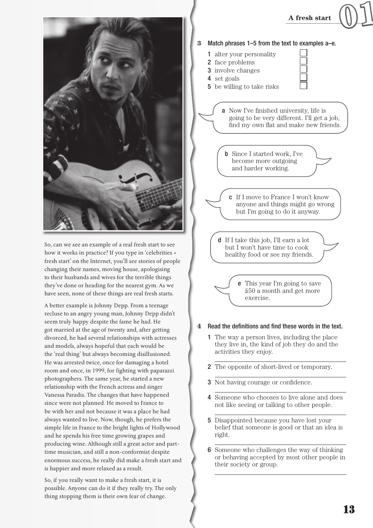

So, can we see an example of a real fresh start to see how it works in practice? If you type in 'celebrities + fresh start' on the Internet, you'll see stories of people changing their names, moving house, apologising to their husbands and wives for the terrible things they've done or heading for the nearest gym. As we have seen, none of these things are real fresh starts.

A better example is Johnny Depp. From a teenage recluse to an angry young man, Johnny Depp didn't seem truly happy despite the fame he had. He got married at the age of twenty and, after getting divorced, he had several relationships with actresses and models, always hopeful that each would be the 'real thing' but always becoming disillusioned. He was arrested twice, once for damaging a hotel room and once, in 1999, for fighting with paparazzi photographers. The same year, he started a new relationship with the French actress and singer Vanessa Paradis. The changes that have happened since were not planned. He moved to France to be with her and not because it was a place he had always wanted to live. Now, though, he prefers the simple life in France to the bright lights of Hollywood and he spends his free time growing grapes and producing wine. Although still a great actor and parttime musician, and still a non-conformist despite enormous success, he really did make a fresh start and is happier and more relaxed as a result.

So, if you really want to make a fresh start, it is possible. Anyone can do it if they really try. The only thing stopping them is their own fear of change.



#### 4 Read the definitions and find these words in the text.

- 1 The way a person lives, including the place they live in, the kind of job they do and the activities they enjoy.
- 2 The opposite of short-lived or temporary.
- **3** Not having courage or confidence.
- 4 Someone who chooses to live alone and does not like seeing or talking to other people.
- 5 Disappointed because you have lost your belief that someone is good or that an idea is right.
- 6 Someone who challenges the way of thinking or behaving accepted by most other people in their society or group.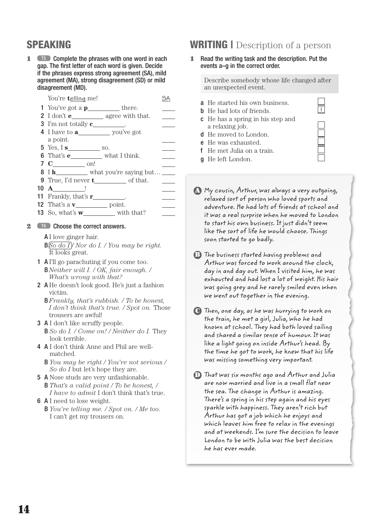# sPEAKiNG

1 **T3** Complete the phrases with one word in each gap. The first letter of each word is given. Decide if the phrases express strong agreement (SA), mild agreement (MA), strong disagreement (SD) or mild disagreement (MD).

| You're telling me!                         |  |
|--------------------------------------------|--|
| 1 You've got a $p$ _____________ there.    |  |
| 2 I don't $e_$ agree with that.            |  |
| <b>3</b> I'm not totally $c$               |  |
| 4 I have to <b>a_______</b> you've got     |  |
| a point.                                   |  |
| $5$ Yes, I s so.                           |  |
| 6 That's $e$ what I think.                 |  |
|                                            |  |
| 8 Ih_______ what you're saying but ____    |  |
| <b>9</b> True, I'd never $t$ of that.      |  |
| $10 \text{ A}$ !                           |  |
| 11 Frankly, that's $\mathbf{r}$ _________. |  |
| <b>12</b> That's a $\mathbf{v}$ point.     |  |

13 So, what's **w** with that?

#### 2 T<sup>4</sup> Choose the correct answers.

A I love ginger hair.

- $\frac{B\sqrt{S_0 d_0 I}}{N}$  *Nor do I. / You may be right.* It looks great.
- 1 A I'll go parachuting if you come too. B *Neither will I. / OK, fair enough. / What's wrong with that?*
- 2 A He doesn't look good. He's just a fashion victim.
	- B *Frankly, that's rubbish. / To be honest, I don't think that's true. / Spot on.* Those trousers are awful!
- 3 A I don't like scruffy people.
	- B *So do I. / Come on! / Neither do I.* They look terrible.
- 4 A I don't think Anne and Phil are wellmatched.
	- B *You may be right / You're not serious / So do I* but let's hope they are.
- 5 A Nose studs are very unfashionable. B *That's a valid point / To be honest, / I have to admit* I don't think that's true.
- 6 A I need to lose weight.
	- B *You're telling me. / Spot on. / Me too* . I can't get my trousers on.

# **WRITING** Description of a person

#### 1 Read the writing task and the description. Put the events a–g in the correct order.

 Describe somebody whose life changed after an unexpected event.

- a He started his own business.
- **b** He had lots of friends.
- c He has a spring in his step and a relaxing job.
- d He moved to London.
- e He was exhausted.
- f He met Julia on a train.
- g He left London.
- A My cousin, Arthur, was always a very outgoing, relaxed sort of person who loved sports and adventure. He had lots of friends at school and it was a real surprise when he moved to London to start his own business. It just didn't seem like the sort of life he would choose. Things soon started to go badly.
- B The business started having problems and Arthur was forced to work around the clock, day in and day out. When I visited him, he was exhausted and had lost a lot of weight. His hair was going grey and he rarely smiled even when we went out together in the evening.
- C Then, one day, as he was hurrying to work on the train, he met a girl, Julia, who he had known at school. They had both loved sailing and shared a similar sense of humour. It was like a light going on inside Arthur's head. By the time he got to work, he knew that his life was missing something very important.
- D That was six months ago and Arthur and Julia are now married and live in a small flat near the sea. The change in Arthur is amazing. There's a spring in his step again and his eyes sparkle with happiness. They aren't rich but Arthur has got a job which he enjoys and which leaves him free to relax in the evenings and at weekends. I'm sure the decision to leave London to be with Julia was the best decision he has ever made.

| __ |
|----|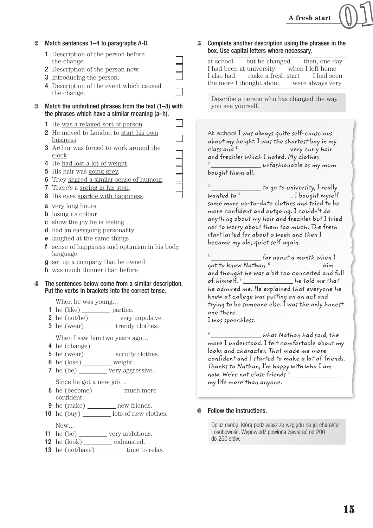#### 2 Match sentences 1–4 to paragraphs A-D.

- 1 Description of the person before the change.
- 2 Description of the person now.
- 3 Introducing the person.
- 4 Description of the event which caused the change.
- 3 Match the underlined phrases from the text (1–8) with the phrases which have a similar meaning (a–h).
	- 1 He was a relaxed sort of person.
	- 2 He moved to London to start his own business .
	- 3 Arthur was forced to work around the clock .
	- 4 He had lost a lot of weight.
	- 5 His hair was going grey.
	- 6 They shared a similar sense of humour .
	- 7 There's a spring in his step .
	- 8 His eyes sparkle with happiness .
	- a very long hours
	- **b** losing its colour
	- c show the joy he is feeling
	- d had an easygoing personality
	- e laughed at the same things
	- f sense of happiness and optimism in his body language
	- g set up a company that he owned
	- h was much thinner than before

#### The sentences below come from a similar description. Put the verbs in brackets into the correct tense.

When he was young…

- 1 he (like)  $\_\_\_\_\_\$  parties.
- 2 he  $(not/be)$  very impulsive.
- $3$  he (wear) \_\_\_\_\_\_\_\_\_ trendy clothes.

When I saw him two years ago…

- **4** he (change) \_\_\_\_\_\_\_\_\_.
- 5 he (wear) \_\_\_\_\_\_\_\_\_ scruffy clothes.
- 6 he  $(\text{lose})$  weight.
- 7 he (be) \_\_\_\_\_\_\_ very aggressive. Since he got a new job…
- 8 he (become) \_\_\_\_\_\_\_\_ much more confident.
- **9** he  $(make)$  new friends.
- 10 he (buy) lots of new clothes.

Now…

- 11 he (be)  $\_\_\_\_\$  very ambitious.
- $12$  he  $(look)$  exhausted.
- 13 he (not/have) time to relax.

#### 5 Complete another description using the phrases in the box. Use capital letters where necessary.

 at school but he changed then, one day I had been at university when I left home I also had make a fresh start I had seen the more I thought about were always very

 Describe a person who has changed the way you see yourself.

**At school** I was always quite self-conscious about my height. I was the shortest boy in my  $class$  and  $1$   $\_\_\_\_\_\_\_\_\_\_$  very curly hair and freckles which I hated. My clothes  $2$   $\frac{2}{\sqrt{2}}$  unfashionable as my mum

bought them all.

 $^3$  \_\_\_\_\_\_\_\_\_\_\_\_\_\_\_ to go to university, I really wanted to  $\sqrt[4]{\phantom{a} \phantom{a}}$  . I bought myself some more up-to-date clothes and tried to be more confident and outgoing. I couldn't do anything about my hair and freckles but I tried not to worry about them too much. The fresh start lasted for about a week and then I became my old, quiet self again.

 $5$  **for about a month when** I  $q$ ot to know Nathan. $6 \underline{\hspace{1cm}}$ him and thought he was a bit too conceited and full of himself.  $7 \_$  he told me that he admired me. He explained that everyone he knew at college was putting on an act and trying to be someone else. I was the only honest one there.

I was speechless.

 $\equiv$  what Nathan had said, the more I understood. I felt comfortable about my looks and character. That made me more confident and I started to make a lot of friends. Thanks to Nathan, I'm happy with who I am now. We're not close friends<sup>9</sup> my life more than anyone.

6 Follow the instructions.

Opisz osobę, którą podziwiasz ze względu na jej charakter i osobowość. Wypowiedź powinna zawierać od 200 do 250 słów.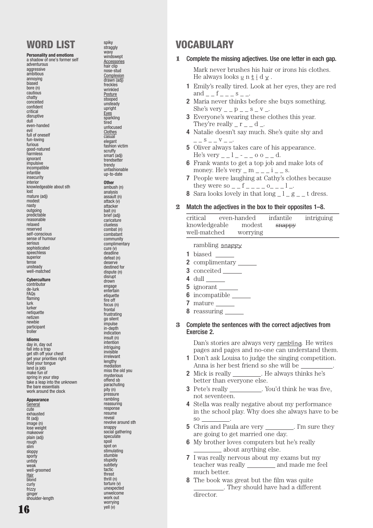# WORD LIST

Personality and emotions a shadow of one's former self adventurous

aggressive ambitious annoying biased bore (n) cautious chatty conceited confident critical disruptive dull even-handed evil full of oneself fun-loving furious good-natured harmless ignorant impulsive incompatible infantile **insecurity** interior knowledgeable about sth lost mature (adj) modest nasty outgoing predictable reasonable relaxed reserved self-conscious sense of humour serious sophisticated speechless superior tense unsteady well-matched **Cyberculture** contributor de-lurk FAQs flaming

lurk lurker netiquette netizen newbie participant troller

Idioms day in, day out fall into a tran get sth off your chest get your priorities right hold your tongue land (a job) make fun of spring in your step take a leap into the unknown the bare essentials work around the clock

#### Appearance

**General** cute exhausted fit (adj) image (n) lose weight makeove plain (adj) rough slim sloppy sporty untidy weak well-groomed Hair **hlond** curly frizzy ginger shoulder-length

spiky straggly wavy windswept **Accessories** hair clip nose-stud **Complexion** drawn (adj) freckles wrinkled **Posture** stooped unsteady upright Eyes sparkling tired unfocused **Clothes** casual elegant fashion victim scruffy smart (adj) trendsetter trendy unfashionable up-to-date **Other** ambush (n) analysis

assault (n) attack (v) attacker bait (n) brief (adj) caricature clueless combat (n) combatant community complimentary cure (v) deadline defeat (n) deserve destined for dispute (n) disrupt drown engage entertain etiquette fire off focus (n) frontal frustrating go silent impulse in-depth indication insult (n) intention intriguing invisible irrelevant lengthy mediation miss the old you mysterious offend sb parachuting pity (n) pressure rambling reassuring response resume reveal revolve around sth snappy social gathering speculate spoil spot on stimulating stumble stupidly subtlety tactic threat thrill (n) torture (v) unexpected unwelcome work out worrying<br>vell (v)

# **VOCABULARY**

#### 1 Complete the missing adjectives. Use one letter in each gap.

Mark never brushes his hair or irons his clothes. He always looks  $\underline{\mathsf{u}}$  n  $\underline{\mathsf{t}}$  i d  $\underline{\mathsf{v}}$ .

- 1 Emily's really tired. Look at her eyes, they are red and  $-$  f  $-$  s  $-$
- 2 Maria never thinks before she buys something. She's very  $p_ - p_ - s_ - v_$ .
- 3 Everyone's wearing these clothes this year. They're really  $r - d$ .
- 4 Natalie doesn't say much. She's quite shy and  $=-\frac{S}{V}=-\frac{V}{V}=-\frac{S}{V}$
- 5 Oliver always takes care of his appearance. He's very  $-1$   $\circ$   $\circ$   $\circ$ .
- 6 Frank wants to get a top job and make lots of money. He's very  $m - 1 - i - s$ .
- 7 People were laughing at Cathy's clothes because they were so \_ \_ f \_ \_ \_ \_ o\_ \_ \_ l \_.
- 8 Sara looks lovely in that  $\log_2 1 g = t$  dress.

#### 2 Match the adjectives in the box to their opposites 1–8.

| critical      | even-handed | infantile | intriguing |
|---------------|-------------|-----------|------------|
| knowledgeable | modest      | snappy    |            |
| well-matched  | worrying    |           |            |

rambling **snappy**

- 1 biased  $\_\_$
- 2 complimentary
- 3 conceited
- 4 dull
- 5 ignorant
- 6 incompatible
- 7 mature \_\_\_\_\_\_\_
- 8 reassuring

#### 3 Complete the sentences with the correct adjectives from Exercise 2.

Dan's stories are always very rambling. He writes pages and pages and no-one can understand them.

- 1 Don't ask Louisa to judge the singing competition. Anna is her best friend so she will be .
- 2 Mick is really \_\_\_\_\_\_\_\_. He always thinks he's better than everyone else.
- 3 Pete's really . You'd think he was five, not seventeen.
- 4 Stella was really negative about my performance in the school play. Why does she always have to be so .
- 5 Chris and Paula are very \_\_\_\_\_\_\_\_. I'm sure they are going to get married one day.
- 6 My brother loves computers but he's really about anything else.
- 7 I was really nervous about my exams but my teacher was really \_\_\_\_\_\_\_\_\_ and made me feel much better.
- 8 The book was great but the film was quite . They should have had a different director.